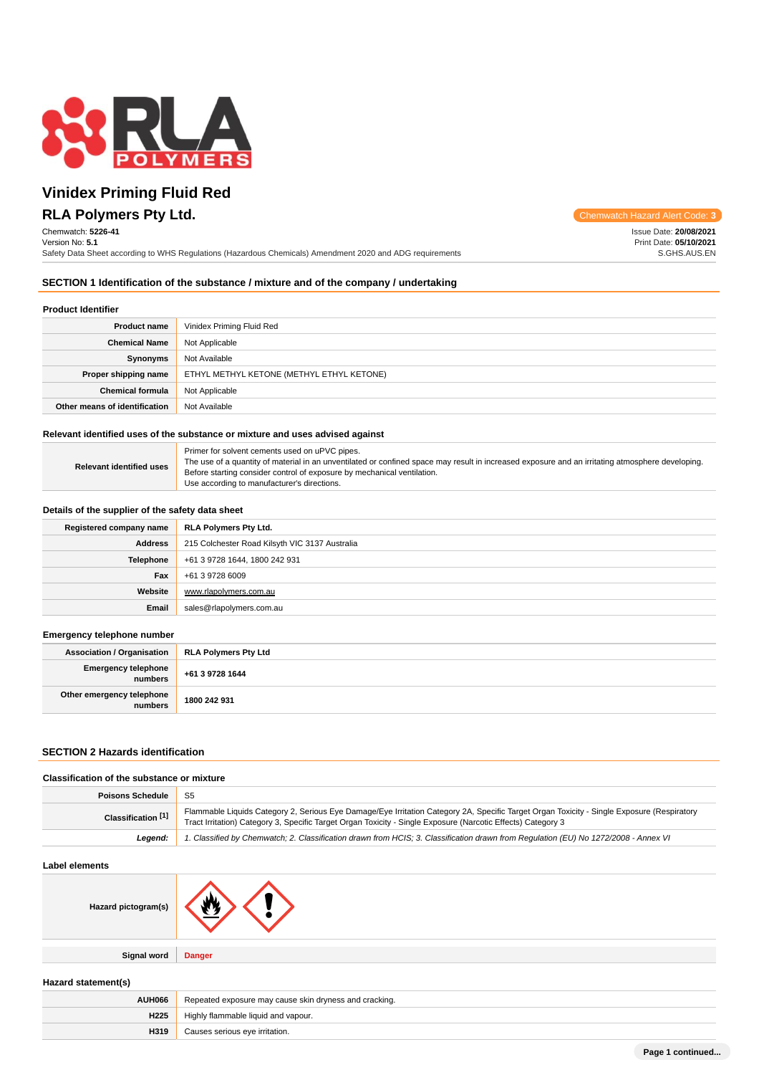

# **RLA Polymers Pty Ltd.** Chemwatch Hazard Alert Code: 3 **Vinidex Priming Fluid Red**

Chemwatch: **5226-41** Version No: **5.1**

Safety Data Sheet according to WHS Regulations (Hazardous Chemicals) Amendment 2020 and ADG requirements

Issue Date: **20/08/2021** Print Date: **05/10/2021** S.GHS.AUS.EN

## **SECTION 1 Identification of the substance / mixture and of the company / undertaking**

## **Product Identifier**

| <b>Product name</b>           | Vinidex Priming Fluid Red                 |
|-------------------------------|-------------------------------------------|
| <b>Chemical Name</b>          | Not Applicable                            |
| Synonyms                      | Not Available                             |
| Proper shipping name          | ETHYL METHYL KETONE (METHYL ETHYL KETONE) |
| <b>Chemical formula</b>       | Not Applicable                            |
| Other means of identification | Not Available                             |

### **Relevant identified uses of the substance or mixture and uses advised against**

| <b>Relevant identified uses</b> |
|---------------------------------|
|---------------------------------|

## **Details of the supplier of the safety data sheet**

| Registered company name | RLA Polymers Pty Ltd.                          |
|-------------------------|------------------------------------------------|
| <b>Address</b>          | 215 Colchester Road Kilsyth VIC 3137 Australia |
| <b>Telephone</b>        | +61 3 9728 1644, 1800 242 931                  |
| Fax                     | +61 3 9728 6009                                |
| Website                 | www.rlapolymers.com.au                         |
| Email                   | sales@rlapolymers.com.au                       |

## **Emergency telephone number**

| . .                                          |                             |
|----------------------------------------------|-----------------------------|
| Association / Organisation                   | <b>RLA Polymers Pty Ltd</b> |
| <b>Emergency telephone</b><br><b>numbers</b> | $+61397281644$              |
| Other emergency telephone<br>numbers         | 1800 242 931                |

## **SECTION 2 Hazards identification**

#### **Classification of the substance or mixture**

| <b>Poisons Schedule</b>   | S5                                                                                                                                                                                                                                                         |
|---------------------------|------------------------------------------------------------------------------------------------------------------------------------------------------------------------------------------------------------------------------------------------------------|
| <b>Classification</b> [1] | Flammable Liquids Category 2, Serious Eye Damage/Eye Irritation Category 2A, Specific Target Organ Toxicity - Single Exposure (Respiratory<br>Tract Irritation) Category 3, Specific Target Organ Toxicity - Single Exposure (Narcotic Effects) Category 3 |
| Leaend:                   | 1. Classified by Chemwatch; 2. Classification drawn from HCIS; 3. Classification drawn from Requlation (EU) No 1272/2008 - Annex VI                                                                                                                        |

### **Label elements**

| Hazard pictogram(s) |               |
|---------------------|---------------|
|                     |               |
| Signal word         | <b>Danger</b> |

## **Hazard statement(s)**

| AUH066           | Repeated exposure may cause skin dryness and cracking. |  |
|------------------|--------------------------------------------------------|--|
| H <sub>225</sub> | Highly flammable liquid and vapour.                    |  |
| H319             | Causes serious eye irritation.                         |  |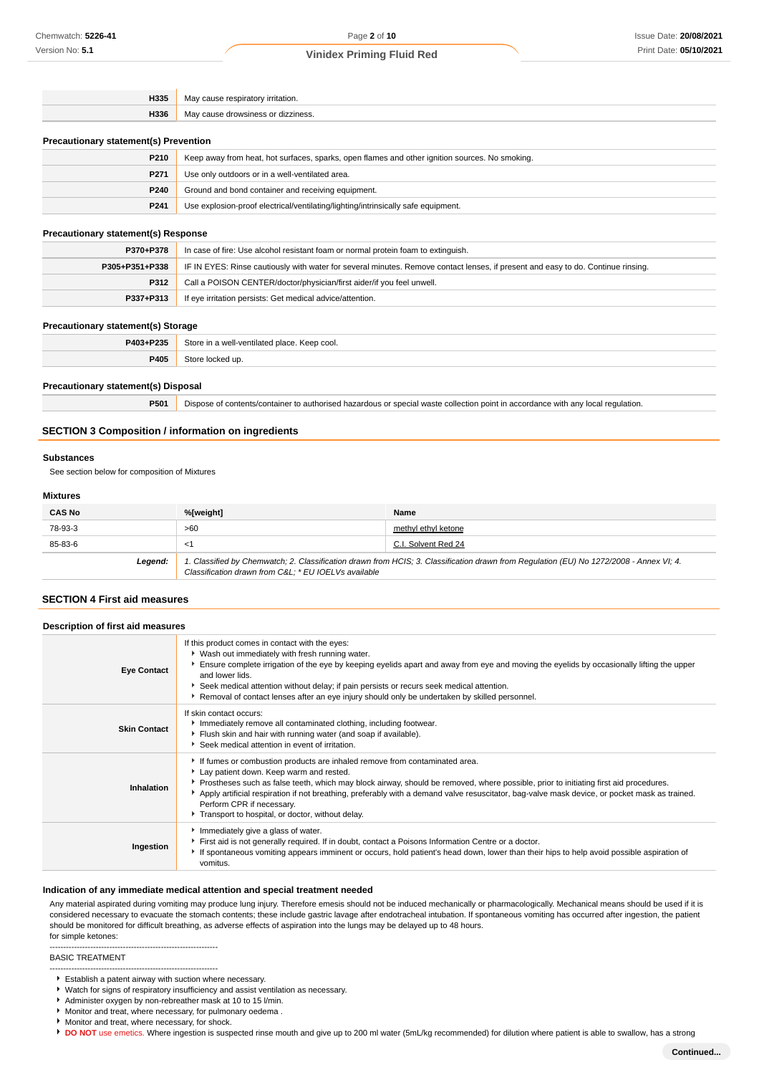| H335                                         | May cause respiratory irritation.              |  |
|----------------------------------------------|------------------------------------------------|--|
|                                              | <b>H336</b> May cause drowsiness or dizziness. |  |
| <b>Precautionary statement(s) Prevention</b> |                                                |  |

| P <sub>210</sub> | Keep away from heat, hot surfaces, sparks, open flames and other ignition sources. No smoking. |  |
|------------------|------------------------------------------------------------------------------------------------|--|
| P <sub>271</sub> | Use only outdoors or in a well-ventilated area.                                                |  |
| P240             | Ground and bond container and receiving equipment.                                             |  |
| P241             | Use explosion-proof electrical/ventilating/lighting/intrinsically safe equipment.              |  |

## **Precautionary statement(s) Response**

| P370+P378      | In case of fire: Use alcohol resistant foam or normal protein foam to extinguish.                                                |  |
|----------------|----------------------------------------------------------------------------------------------------------------------------------|--|
| P305+P351+P338 | IF IN EYES: Rinse cautiously with water for several minutes. Remove contact lenses, if present and easy to do. Continue rinsing. |  |
| <b>P312</b>    | Call a POISON CENTER/doctor/physician/first aider/if you feel unwell.                                                            |  |
| P337+P313      | If eye irritation persists: Get medical advice/attention.                                                                        |  |

### **Precautionary statement(s) Storage**

| . .       | . .                                          |
|-----------|----------------------------------------------|
| P403+P235 | Store in a well-ventilated place. Keep cool. |
| P405      | <b>uc</b>                                    |
|           |                                              |

## **Precautionary statement(s) Disposal**

**P501** Dispose of contents/container to authorised hazardous or special waste collection point in accordance with any local regulation.

## **SECTION 3 Composition / information on ingredients**

### **Substances**

See section below for composition of Mixtures

## **Mixtures**

| <b>CAS No</b> | %[weight]                                                                                                                                                                                      | Name                |
|---------------|------------------------------------------------------------------------------------------------------------------------------------------------------------------------------------------------|---------------------|
| 78-93-3       | >60                                                                                                                                                                                            | methyl ethyl ketone |
| 85-83-6       | <′                                                                                                                                                                                             | C.I. Solvent Red 24 |
| Legend:       | 1. Classified by Chemwatch; 2. Classification drawn from HCIS; 3. Classification drawn from Regulation (EU) No 1272/2008 - Annex VI; 4.<br>Classification drawn from C&L * EU IOELVs available |                     |

## **SECTION 4 First aid measures**

| Description of first aid measures |                                                                                                                                                                                                                                                                                                                                                                                                                                                                                                   |
|-----------------------------------|---------------------------------------------------------------------------------------------------------------------------------------------------------------------------------------------------------------------------------------------------------------------------------------------------------------------------------------------------------------------------------------------------------------------------------------------------------------------------------------------------|
| <b>Eye Contact</b>                | If this product comes in contact with the eyes:<br>▶ Wash out immediately with fresh running water.<br>Ensure complete irrigation of the eye by keeping eyelids apart and away from eye and moving the eyelids by occasionally lifting the upper<br>and lower lids.<br>Seek medical attention without delay; if pain persists or recurs seek medical attention.<br>Removal of contact lenses after an eye injury should only be undertaken by skilled personnel.                                  |
| <b>Skin Contact</b>               | If skin contact occurs:<br>Immediately remove all contaminated clothing, including footwear.<br>Flush skin and hair with running water (and soap if available).<br>Seek medical attention in event of irritation.                                                                                                                                                                                                                                                                                 |
| Inhalation                        | If fumes or combustion products are inhaled remove from contaminated area.<br>Lay patient down. Keep warm and rested.<br>▶ Prostheses such as false teeth, which may block airway, should be removed, where possible, prior to initiating first aid procedures.<br>Apply artificial respiration if not breathing, preferably with a demand valve resuscitator, bag-valve mask device, or pocket mask as trained.<br>Perform CPR if necessary.<br>Transport to hospital, or doctor, without delay. |
| Ingestion                         | Immediately give a glass of water.<br>First aid is not generally required. If in doubt, contact a Poisons Information Centre or a doctor.<br>If spontaneous vomiting appears imminent or occurs, hold patient's head down, lower than their hips to help avoid possible aspiration of<br>vomitus.                                                                                                                                                                                                 |

## **Indication of any immediate medical attention and special treatment needed**

Any material aspirated during vomiting may produce lung injury. Therefore emesis should not be induced mechanically or pharmacologically. Mechanical means should be used if it is considered necessary to evacuate the stomach contents; these include gastric lavage after endotracheal intubation. If spontaneous vomiting has occurred after ingestion, the patient should be monitored for difficult breathing, as adverse effects of aspiration into the lungs may be delayed up to 48 hours. for simple ketones:

### BASIC TREATMENT

--------------------------------------------------------------

Watch for signs of respiratory insufficiency and assist ventilation as necessary.

- Monitor and treat, where necessary, for pulmonary oedema .
- Monitor and treat, where necessary, for shock.
- **DO NOT** use emetics. Where ingestion is suspected rinse mouth and give up to 200 ml water (5mL/kg recommended) for dilution where patient is able to swallow, has a strong

<sup>--------------------------------------------------------------</sup> Establish a patent airway with suction where necessary.

Administer oxygen by non-rebreather mask at 10 to 15 l/min.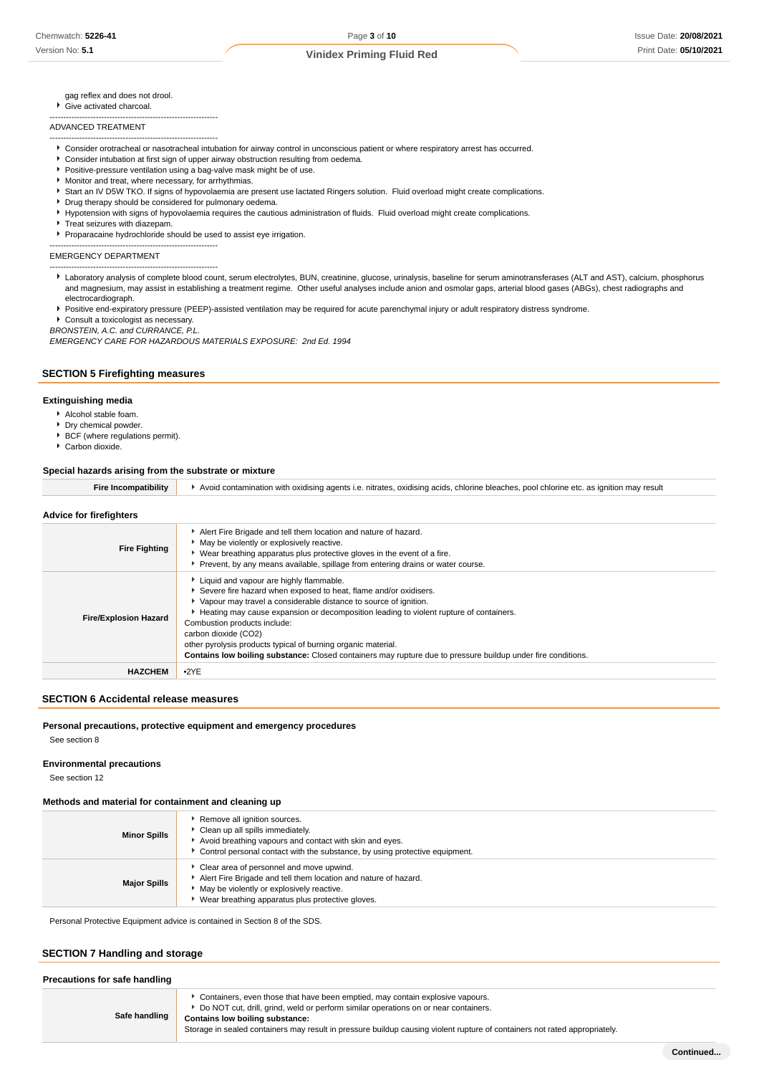gag reflex and does not drool.

Give activated charcoal. --------------------------------------------------------------

ADVANCED TREATMENT

- Consider orotracheal or nasotracheal intubation for airway control in unconscious patient or where respiratory arrest has occurred.
- Consider intubation at first sign of upper airway obstruction resulting from oedema.
- **Positive-pressure ventilation using a bag-valve mask might be of use**.
- Monitor and treat, where necessary, for arrhythmias.
- Start an IV D5W TKO. If signs of hypovolaemia are present use lactated Ringers solution. Fluid overload might create complications.
- **P** Drug therapy should be considered for pulmonary oedema.
- Hypotension with signs of hypovolaemia requires the cautious administration of fluids. Fluid overload might create complications.
- Treat seizures with diazepam.

--------------------------------------------------------------

--------------------------------------------------------------

Proparacaine hydrochloride should be used to assist eye irrigation. --------------------------------------------------------------

EMERGENCY DEPARTMENT

Laboratory analysis of complete blood count, serum electrolytes, BUN, creatinine, glucose, urinalysis, baseline for serum aminotransferases (ALT and AST), calcium, phosphorus and magnesium, may assist in establishing a treatment regime. Other useful analyses include anion and osmolar gaps, arterial blood gases (ABGs), chest radiographs and electrocardiograph.

Positive end-expiratory pressure (PEEP)-assisted ventilation may be required for acute parenchymal injury or adult respiratory distress syndrome.

Consult a toxicologist as necessary. BRONSTEIN, A.C. and CURRANCE, P.L.

EMERGENCY CARE FOR HAZARDOUS MATERIALS EXPOSURE: 2nd Ed. 1994

## **SECTION 5 Firefighting measures**

## **Extinguishing media**

- Alcohol stable foam.
- Dry chemical powder.
- BCF (where regulations permit).
- Carbon dioxide.

### **Special hazards arising from the substrate or mixture**

| <b>Fire Incompatibility</b>  | Avoid contamination with oxidising agents i.e. nitrates, oxidising acids, chlorine bleaches, pool chlorine etc. as ignition may result                                                                                                                                                                                                                                                             |
|------------------------------|----------------------------------------------------------------------------------------------------------------------------------------------------------------------------------------------------------------------------------------------------------------------------------------------------------------------------------------------------------------------------------------------------|
| Advice for firefighters      |                                                                                                                                                                                                                                                                                                                                                                                                    |
| <b>Fire Fighting</b>         | Alert Fire Brigade and tell them location and nature of hazard.<br>• May be violently or explosively reactive.<br>Wear breathing apparatus plus protective gloves in the event of a fire.<br>Prevent, by any means available, spillage from entering drains or water course.                                                                                                                       |
| <b>Fire/Explosion Hazard</b> | Liquid and vapour are highly flammable.<br>Severe fire hazard when exposed to heat, flame and/or oxidisers.<br>Vapour may travel a considerable distance to source of ignition.<br>Heating may cause expansion or decomposition leading to violent rupture of containers.<br>Combustion products include:<br>carbon dioxide (CO2)<br>other pyrolysis products typical of burning organic material. |

**Contains low boiling substance:** Closed containers may rupture due to pressure buildup under fire conditions.

### **SECTION 6 Accidental release measures**

### **Personal precautions, protective equipment and emergency procedures**

See section 8

**Environmental precautions**

See section 12

## **Methods and material for containment and cleaning up**

**HAZCHEM** •2YE

| <b>Minor Spills</b> | Remove all ignition sources.<br>Clean up all spills immediately.<br>Avoid breathing vapours and contact with skin and eyes.<br>Control personal contact with the substance, by using protective equipment.   |
|---------------------|--------------------------------------------------------------------------------------------------------------------------------------------------------------------------------------------------------------|
| <b>Major Spills</b> | Clear area of personnel and move upwind.<br>Alert Fire Brigade and tell them location and nature of hazard.<br>May be violently or explosively reactive.<br>Wear breathing apparatus plus protective gloves. |

Personal Protective Equipment advice is contained in Section 8 of the SDS.

### **SECTION 7 Handling and storage**

| Precautions for safe handling |                                                                                                                                                                                                                                                                                                                                       |
|-------------------------------|---------------------------------------------------------------------------------------------------------------------------------------------------------------------------------------------------------------------------------------------------------------------------------------------------------------------------------------|
| Safe handling                 | Containers, even those that have been emptied, may contain explosive vapours.<br>Do NOT cut, drill, grind, weld or perform similar operations on or near containers.<br>Contains low boiling substance:<br>Storage in sealed containers may result in pressure buildup causing violent rupture of containers not rated appropriately. |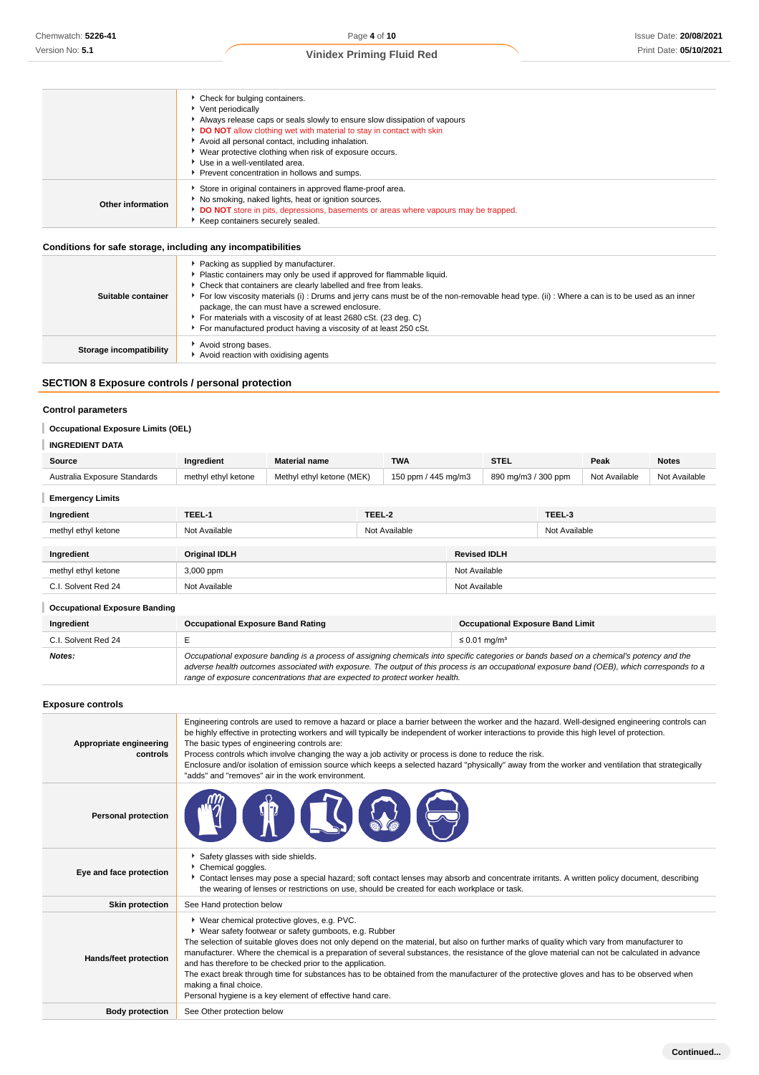|                   | ▶ Check for bulging containers.<br>▶ Vent periodically<br>Always release caps or seals slowly to ensure slow dissipation of vapours                                                                                                                                      |
|-------------------|--------------------------------------------------------------------------------------------------------------------------------------------------------------------------------------------------------------------------------------------------------------------------|
|                   | DO NOT allow clothing wet with material to stay in contact with skin<br>Avoid all personal contact, including inhalation.<br>• Wear protective clothing when risk of exposure occurs.<br>▶ Use in a well-ventilated area.<br>Prevent concentration in hollows and sumps. |
| Other information | Store in original containers in approved flame-proof area.<br>No smoking, naked lights, heat or ignition sources.<br>DO NOT store in pits, depressions, basements or areas where vapours may be trapped.<br>Keep containers securely sealed.                             |
|                   |                                                                                                                                                                                                                                                                          |

## **Conditions for safe storage, including any incompatibilities**

| Suitable container      | Packing as supplied by manufacturer.<br>Plastic containers may only be used if approved for flammable liquid.<br>Check that containers are clearly labelled and free from leaks.<br>For low viscosity materials (i): Drums and jerry cans must be of the non-removable head type. (ii): Where a can is to be used as an inner<br>package, the can must have a screwed enclosure.<br>For materials with a viscosity of at least 2680 cSt. (23 deg. C)<br>For manufactured product having a viscosity of at least 250 cSt. |
|-------------------------|--------------------------------------------------------------------------------------------------------------------------------------------------------------------------------------------------------------------------------------------------------------------------------------------------------------------------------------------------------------------------------------------------------------------------------------------------------------------------------------------------------------------------|
| Storage incompatibility | Avoid strong bases.<br>Avoid reaction with oxidising agents                                                                                                                                                                                                                                                                                                                                                                                                                                                              |

## **SECTION 8 Exposure controls / personal protection**

## **Control parameters**

## **Occupational Exposure Limits (OEL)**

## **INGREDIENT DATA**

| Source                       | Ingredient          | <b>Material name</b>      |        | <b>TWA</b>          | <b>STEL</b>         |               | Peak          | <b>Notes</b>  |
|------------------------------|---------------------|---------------------------|--------|---------------------|---------------------|---------------|---------------|---------------|
| Australia Exposure Standards | methyl ethyl ketone | Methyl ethyl ketone (MEK) |        | 150 ppm / 445 mg/m3 | 890 mg/m3 / 300 ppm |               | Not Available | Not Available |
| <b>Emergency Limits</b>      |                     |                           |        |                     |                     |               |               |               |
| Ingredient                   | TEEL-1              |                           | TEEL-2 |                     |                     | TEEL-3        |               |               |
| methyl ethyl ketone          | Not Available       |                           |        | Not Available       |                     | Not Available |               |               |
|                              |                     |                           |        |                     |                     |               |               |               |

| Ingredient                           | Original IDLH | <b>Revised IDLH</b> |  |
|--------------------------------------|---------------|---------------------|--|
| methyl ethyl ketone                  | 3,000 ppm     | Not Available       |  |
| C.I. Solvent Red 24                  | Not Available | Not Available       |  |
| <b>Occupational Exposure Banding</b> |               |                     |  |

| Ingredient          | <b>Occupational Exposure Band Rating</b>                                                                                                                                                                                                                                                                                                                                 | <b>Occupational Exposure Band Limit</b> |  |
|---------------------|--------------------------------------------------------------------------------------------------------------------------------------------------------------------------------------------------------------------------------------------------------------------------------------------------------------------------------------------------------------------------|-----------------------------------------|--|
| C.I. Solvent Red 24 |                                                                                                                                                                                                                                                                                                                                                                          | $\leq$ 0.01 mg/m <sup>3</sup>           |  |
| Notes:              | Occupational exposure banding is a process of assigning chemicals into specific categories or bands based on a chemical's potency and the<br>adverse health outcomes associated with exposure. The output of this process is an occupational exposure band (OEB), which corresponds to a<br>range of exposure concentrations that are expected to protect worker health. |                                         |  |

**Exposure controls**

| Appropriate engineering<br>controls | Engineering controls are used to remove a hazard or place a barrier between the worker and the hazard. Well-designed engineering controls can<br>be highly effective in protecting workers and will typically be independent of worker interactions to provide this high level of protection.<br>The basic types of engineering controls are:<br>Process controls which involve changing the way a job activity or process is done to reduce the risk.<br>Enclosure and/or isolation of emission source which keeps a selected hazard "physically" away from the worker and ventilation that strategically<br>"adds" and "removes" air in the work environment.                                          |
|-------------------------------------|----------------------------------------------------------------------------------------------------------------------------------------------------------------------------------------------------------------------------------------------------------------------------------------------------------------------------------------------------------------------------------------------------------------------------------------------------------------------------------------------------------------------------------------------------------------------------------------------------------------------------------------------------------------------------------------------------------|
| <b>Personal protection</b>          |                                                                                                                                                                                                                                                                                                                                                                                                                                                                                                                                                                                                                                                                                                          |
| Eye and face protection             | Safety glasses with side shields.<br>Chemical goggles.<br>Contact lenses may pose a special hazard; soft contact lenses may absorb and concentrate irritants. A written policy document, describing<br>the wearing of lenses or restrictions on use, should be created for each workplace or task.                                                                                                                                                                                                                                                                                                                                                                                                       |
| <b>Skin protection</b>              | See Hand protection below                                                                                                                                                                                                                                                                                                                                                                                                                                                                                                                                                                                                                                                                                |
| Hands/feet protection               | * Wear chemical protective gloves, e.g. PVC.<br>• Wear safety footwear or safety gumboots, e.g. Rubber<br>The selection of suitable gloves does not only depend on the material, but also on further marks of quality which vary from manufacturer to<br>manufacturer. Where the chemical is a preparation of several substances, the resistance of the glove material can not be calculated in advance<br>and has therefore to be checked prior to the application.<br>The exact break through time for substances has to be obtained from the manufacturer of the protective gloves and has to be observed when<br>making a final choice.<br>Personal hygiene is a key element of effective hand care. |
| <b>Body protection</b>              | See Other protection below                                                                                                                                                                                                                                                                                                                                                                                                                                                                                                                                                                                                                                                                               |
|                                     |                                                                                                                                                                                                                                                                                                                                                                                                                                                                                                                                                                                                                                                                                                          |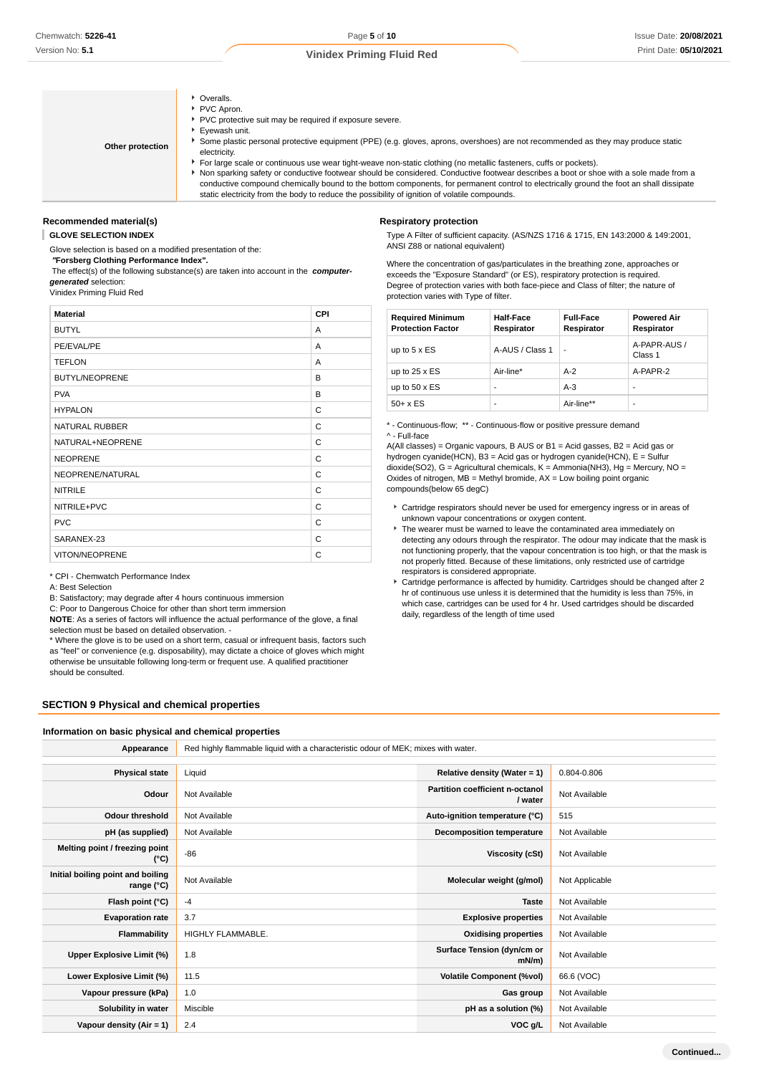- Overalls. PVC Apron. PVC protective suit may be required if exposure severe. Eyewash unit.
- **Other protection**
- Some plastic personal protective equipment (PPE) (e.g. gloves, aprons, overshoes) are not recommended as they may produce static electricity.
- For large scale or continuous use wear tight-weave non-static clothing (no metallic fasteners, cuffs or pockets).

Non sparking safety or conductive footwear should be considered. Conductive footwear describes a boot or shoe with a sole made from a conductive compound chemically bound to the bottom components, for permanent control to electrically ground the foot an shall dissipate static electricity from the body to reduce the possibility of ignition of volatile compounds.

#### **Recommended material(s)**

#### **GLOVE SELECTION INDEX**

Glove selection is based on a modified presentation of the:

**Respiratory protection**

 **"Forsberg Clothing Performance Index".**

 The effect(s) of the following substance(s) are taken into account in the **computergenerated** selection:

Vinidex Priming Fluid Red

| <b>Material</b>       | CPI |
|-----------------------|-----|
| <b>BUTYL</b>          | A   |
| PE/EVAL/PE            | A   |
| <b>TEFLON</b>         | A   |
| <b>BUTYL/NEOPRENE</b> | B   |
| <b>PVA</b>            | B   |
| <b>HYPALON</b>        | C   |
| <b>NATURAL RUBBER</b> | C   |
| NATURAL+NEOPRENE      | C   |
| <b>NEOPRENE</b>       | C   |
| NEOPRENE/NATURAL      | C   |
| <b>NITRILE</b>        | C   |
| NITRILE+PVC           | C   |
| <b>PVC</b>            | C   |
| SARANEX-23            | C   |
| VITON/NEOPRENE        | C   |

\* CPI - Chemwatch Performance Index

A: Best Selection

B: Satisfactory; may degrade after 4 hours continuous immersion

C: Poor to Dangerous Choice for other than short term immersion

**NOTE**: As a series of factors will influence the actual performance of the glove, a final selection must be based on detailed observation. -

\* Where the glove is to be used on a short term, casual or infrequent basis, factors such as "feel" or convenience (e.g. disposability), may dictate a choice of gloves which might otherwise be unsuitable following long-term or frequent use. A qualified practitioner should be consulted.

## **SECTION 9 Physical and chemical properties**

### **Information on basic physical and chemical properties**

| Appearance                                      | Red highly flammable liquid with a characteristic odour of MEK; mixes with water. |                                            |                |  |
|-------------------------------------------------|-----------------------------------------------------------------------------------|--------------------------------------------|----------------|--|
|                                                 |                                                                                   |                                            |                |  |
| <b>Physical state</b>                           | Liquid                                                                            | Relative density (Water = 1)               | 0.804-0.806    |  |
| Odour                                           | Not Available                                                                     | Partition coefficient n-octanol<br>/ water | Not Available  |  |
| <b>Odour threshold</b>                          | Not Available                                                                     | Auto-ignition temperature (°C)             | 515            |  |
| pH (as supplied)                                | Not Available                                                                     | <b>Decomposition temperature</b>           | Not Available  |  |
| Melting point / freezing point<br>(°C)          | $-86$                                                                             | Viscosity (cSt)                            | Not Available  |  |
| Initial boiling point and boiling<br>range (°C) | Not Available                                                                     | Molecular weight (g/mol)                   | Not Applicable |  |
| Flash point (°C)                                | $-4$                                                                              | <b>Taste</b>                               | Not Available  |  |
| <b>Evaporation rate</b>                         | 3.7                                                                               | <b>Explosive properties</b>                | Not Available  |  |
| Flammability                                    | <b>HIGHLY FLAMMABLE.</b>                                                          | <b>Oxidising properties</b>                | Not Available  |  |
| Upper Explosive Limit (%)                       | 1.8                                                                               | Surface Tension (dyn/cm or<br>$mN/m$ )     | Not Available  |  |
| Lower Explosive Limit (%)                       | 11.5                                                                              | <b>Volatile Component (%vol)</b>           | 66.6 (VOC)     |  |
| Vapour pressure (kPa)                           | 1.0                                                                               | Gas group                                  | Not Available  |  |
| Solubility in water                             | Miscible                                                                          | pH as a solution (%)                       | Not Available  |  |
| Vapour density (Air = 1)                        | 2.4                                                                               | VOC g/L                                    | Not Available  |  |

Type A Filter of sufficient capacity. (AS/NZS 1716 & 1715, EN 143:2000 & 149:2001, ANSI Z88 or national equivalent)

Where the concentration of gas/particulates in the breathing zone, approaches or exceeds the "Exposure Standard" (or ES), respiratory protection is required. Degree of protection varies with both face-piece and Class of filter; the nature of protection varies with Type of filter.

| <b>Required Minimum</b><br><b>Protection Factor</b> | <b>Half-Face</b><br>Respirator | <b>Full-Face</b><br>Respirator | <b>Powered Air</b><br>Respirator |
|-----------------------------------------------------|--------------------------------|--------------------------------|----------------------------------|
| up to $5 \times ES$                                 | A-AUS / Class 1                | ٠                              | A-PAPR-AUS /<br>Class 1          |
| up to $25 \times ES$                                | Air-line*                      | $A-2$                          | A-PAPR-2                         |
| up to $50 \times ES$                                | -                              | $A-3$                          |                                  |
| $50+ x ES$                                          | -                              | Air-line**                     |                                  |

\* - Continuous-flow; \*\* - Continuous-flow or positive pressure demand ^ - Full-face

A(All classes) = Organic vapours, B AUS or B1 = Acid gasses, B2 = Acid gas or hydrogen cyanide(HCN), B3 = Acid gas or hydrogen cyanide(HCN), E = Sulfur dioxide(SO2), G = Agricultural chemicals, K = Ammonia(NH3), Hg = Mercury, NO = Oxides of nitrogen,  $MB = Methyl$  bromide,  $AX = Low$  boiling point organic compounds(below 65 degC)

- Cartridge respirators should never be used for emergency ingress or in areas of unknown vapour concentrations or oxygen content.
- $\blacktriangleright$  The wearer must be warned to leave the contaminated area immediately on detecting any odours through the respirator. The odour may indicate that the mask is not functioning properly, that the vapour concentration is too high, or that the mask is not properly fitted. Because of these limitations, only restricted use of cartridge respirators is considered appropriate.
- Cartridge performance is affected by humidity. Cartridges should be changed after 2 hr of continuous use unless it is determined that the humidity is less than 75%, in which case, cartridges can be used for 4 hr. Used cartridges should be discarded daily, regardless of the length of time used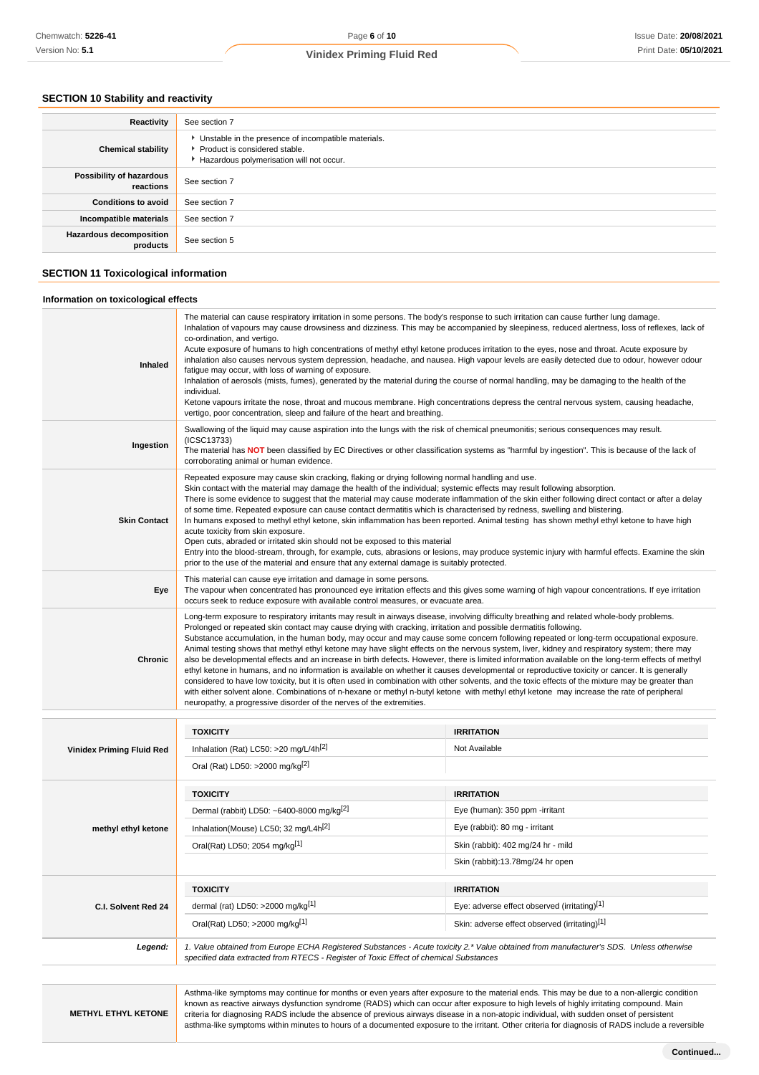## **SECTION 10 Stability and reactivity**

| Reactivity                                 | See section 7                                                                                                                        |
|--------------------------------------------|--------------------------------------------------------------------------------------------------------------------------------------|
| <b>Chemical stability</b>                  | • Unstable in the presence of incompatible materials.<br>▶ Product is considered stable.<br>Hazardous polymerisation will not occur. |
| Possibility of hazardous<br>reactions      | See section 7                                                                                                                        |
| <b>Conditions to avoid</b>                 | See section 7                                                                                                                        |
| Incompatible materials                     | See section 7                                                                                                                        |
| <b>Hazardous decomposition</b><br>products | See section 5                                                                                                                        |

## **SECTION 11 Toxicological information**

| Inhaled                          | The material can cause respiratory irritation in some persons. The body's response to such irritation can cause further lung damage.<br>Inhalation of vapours may cause drowsiness and dizziness. This may be accompanied by sleepiness, reduced alertness, loss of reflexes, lack of<br>co-ordination, and vertigo.<br>Acute exposure of humans to high concentrations of methyl ethyl ketone produces irritation to the eyes, nose and throat. Acute exposure by<br>inhalation also causes nervous system depression, headache, and nausea. High vapour levels are easily detected due to odour, however odour<br>fatique may occur, with loss of warning of exposure.<br>Inhalation of aerosols (mists, fumes), generated by the material during the course of normal handling, may be damaging to the health of the<br>individual.<br>Ketone vapours irritate the nose, throat and mucous membrane. High concentrations depress the central nervous system, causing headache,<br>vertigo, poor concentration, sleep and failure of the heart and breathing. |                                                                                                                                                                                                                                                                                                                                                                                                                                                                                                                                                                                                                                                                                                                                                                                                                                                                                                   |  |  |
|----------------------------------|-----------------------------------------------------------------------------------------------------------------------------------------------------------------------------------------------------------------------------------------------------------------------------------------------------------------------------------------------------------------------------------------------------------------------------------------------------------------------------------------------------------------------------------------------------------------------------------------------------------------------------------------------------------------------------------------------------------------------------------------------------------------------------------------------------------------------------------------------------------------------------------------------------------------------------------------------------------------------------------------------------------------------------------------------------------------|---------------------------------------------------------------------------------------------------------------------------------------------------------------------------------------------------------------------------------------------------------------------------------------------------------------------------------------------------------------------------------------------------------------------------------------------------------------------------------------------------------------------------------------------------------------------------------------------------------------------------------------------------------------------------------------------------------------------------------------------------------------------------------------------------------------------------------------------------------------------------------------------------|--|--|
| Ingestion                        | Swallowing of the liquid may cause aspiration into the lungs with the risk of chemical pneumonitis; serious consequences may result.<br>(ICSC13733)<br>The material has NOT been classified by EC Directives or other classification systems as "harmful by ingestion". This is because of the lack of<br>corroborating animal or human evidence.                                                                                                                                                                                                                                                                                                                                                                                                                                                                                                                                                                                                                                                                                                               |                                                                                                                                                                                                                                                                                                                                                                                                                                                                                                                                                                                                                                                                                                                                                                                                                                                                                                   |  |  |
| <b>Skin Contact</b>              | Repeated exposure may cause skin cracking, flaking or drying following normal handling and use.<br>Skin contact with the material may damage the health of the individual; systemic effects may result following absorption.<br>There is some evidence to suggest that the material may cause moderate inflammation of the skin either following direct contact or after a delay<br>of some time. Repeated exposure can cause contact dermatitis which is characterised by redness, swelling and blistering.<br>In humans exposed to methyl ethyl ketone, skin inflammation has been reported. Animal testing has shown methyl ethyl ketone to have high<br>acute toxicity from skin exposure.<br>Open cuts, abraded or irritated skin should not be exposed to this material<br>Entry into the blood-stream, through, for example, cuts, abrasions or lesions, may produce systemic injury with harmful effects. Examine the skin<br>prior to the use of the material and ensure that any external damage is suitably protected.                               |                                                                                                                                                                                                                                                                                                                                                                                                                                                                                                                                                                                                                                                                                                                                                                                                                                                                                                   |  |  |
| Eye                              | This material can cause eye irritation and damage in some persons.<br>The vapour when concentrated has pronounced eye irritation effects and this gives some warning of high vapour concentrations. If eye irritation<br>occurs seek to reduce exposure with available control measures, or evacuate area.                                                                                                                                                                                                                                                                                                                                                                                                                                                                                                                                                                                                                                                                                                                                                      |                                                                                                                                                                                                                                                                                                                                                                                                                                                                                                                                                                                                                                                                                                                                                                                                                                                                                                   |  |  |
|                                  |                                                                                                                                                                                                                                                                                                                                                                                                                                                                                                                                                                                                                                                                                                                                                                                                                                                                                                                                                                                                                                                                 |                                                                                                                                                                                                                                                                                                                                                                                                                                                                                                                                                                                                                                                                                                                                                                                                                                                                                                   |  |  |
| <b>Chronic</b>                   | Long-term exposure to respiratory irritants may result in airways disease, involving difficulty breathing and related whole-body problems.<br>Prolonged or repeated skin contact may cause drying with cracking, irritation and possible dermatitis following.<br>neuropathy, a progressive disorder of the nerves of the extremities.                                                                                                                                                                                                                                                                                                                                                                                                                                                                                                                                                                                                                                                                                                                          | Substance accumulation, in the human body, may occur and may cause some concern following repeated or long-term occupational exposure.<br>Animal testing shows that methyl ethyl ketone may have slight effects on the nervous system, liver, kidney and respiratory system; there may<br>also be developmental effects and an increase in birth defects. However, there is limited information available on the long-term effects of methyl<br>ethyl ketone in humans, and no information is available on whether it causes developmental or reproductive toxicity or cancer. It is generally<br>considered to have low toxicity, but it is often used in combination with other solvents, and the toxic effects of the mixture may be greater than<br>with either solvent alone. Combinations of n-hexane or methyl n-butyl ketone with methyl ethyl ketone may increase the rate of peripheral |  |  |
|                                  |                                                                                                                                                                                                                                                                                                                                                                                                                                                                                                                                                                                                                                                                                                                                                                                                                                                                                                                                                                                                                                                                 |                                                                                                                                                                                                                                                                                                                                                                                                                                                                                                                                                                                                                                                                                                                                                                                                                                                                                                   |  |  |
|                                  | <b>TOXICITY</b>                                                                                                                                                                                                                                                                                                                                                                                                                                                                                                                                                                                                                                                                                                                                                                                                                                                                                                                                                                                                                                                 | <b>IRRITATION</b><br>Not Available                                                                                                                                                                                                                                                                                                                                                                                                                                                                                                                                                                                                                                                                                                                                                                                                                                                                |  |  |
| <b>Vinidex Priming Fluid Red</b> | Inhalation (Rat) LC50: >20 mg/L/4h[2]<br>Oral (Rat) LD50: >2000 mg/kg <sup>[2]</sup>                                                                                                                                                                                                                                                                                                                                                                                                                                                                                                                                                                                                                                                                                                                                                                                                                                                                                                                                                                            |                                                                                                                                                                                                                                                                                                                                                                                                                                                                                                                                                                                                                                                                                                                                                                                                                                                                                                   |  |  |
|                                  | <b>TOXICITY</b>                                                                                                                                                                                                                                                                                                                                                                                                                                                                                                                                                                                                                                                                                                                                                                                                                                                                                                                                                                                                                                                 | <b>IRRITATION</b>                                                                                                                                                                                                                                                                                                                                                                                                                                                                                                                                                                                                                                                                                                                                                                                                                                                                                 |  |  |
|                                  | Dermal (rabbit) LD50: ~6400-8000 mg/kg <sup>[2]</sup>                                                                                                                                                                                                                                                                                                                                                                                                                                                                                                                                                                                                                                                                                                                                                                                                                                                                                                                                                                                                           | Eye (human): 350 ppm -irritant                                                                                                                                                                                                                                                                                                                                                                                                                                                                                                                                                                                                                                                                                                                                                                                                                                                                    |  |  |
| methyl ethyl ketone              | Inhalation(Mouse) LC50; 32 mg/L4h <sup>[2]</sup>                                                                                                                                                                                                                                                                                                                                                                                                                                                                                                                                                                                                                                                                                                                                                                                                                                                                                                                                                                                                                | Eye (rabbit): 80 mg - irritant                                                                                                                                                                                                                                                                                                                                                                                                                                                                                                                                                                                                                                                                                                                                                                                                                                                                    |  |  |
|                                  | Oral(Rat) LD50; 2054 mg/kg[1]                                                                                                                                                                                                                                                                                                                                                                                                                                                                                                                                                                                                                                                                                                                                                                                                                                                                                                                                                                                                                                   | Skin (rabbit): 402 mg/24 hr - mild                                                                                                                                                                                                                                                                                                                                                                                                                                                                                                                                                                                                                                                                                                                                                                                                                                                                |  |  |
|                                  |                                                                                                                                                                                                                                                                                                                                                                                                                                                                                                                                                                                                                                                                                                                                                                                                                                                                                                                                                                                                                                                                 | Skin (rabbit):13.78mg/24 hr open                                                                                                                                                                                                                                                                                                                                                                                                                                                                                                                                                                                                                                                                                                                                                                                                                                                                  |  |  |
|                                  | <b>TOXICITY</b>                                                                                                                                                                                                                                                                                                                                                                                                                                                                                                                                                                                                                                                                                                                                                                                                                                                                                                                                                                                                                                                 | <b>IRRITATION</b>                                                                                                                                                                                                                                                                                                                                                                                                                                                                                                                                                                                                                                                                                                                                                                                                                                                                                 |  |  |
| C.I. Solvent Red 24              | dermal (rat) LD50: >2000 mg/kg[1]                                                                                                                                                                                                                                                                                                                                                                                                                                                                                                                                                                                                                                                                                                                                                                                                                                                                                                                                                                                                                               | Eye: adverse effect observed (irritating)[1]                                                                                                                                                                                                                                                                                                                                                                                                                                                                                                                                                                                                                                                                                                                                                                                                                                                      |  |  |
|                                  | Oral(Rat) LD50; >2000 mg/kg[1]                                                                                                                                                                                                                                                                                                                                                                                                                                                                                                                                                                                                                                                                                                                                                                                                                                                                                                                                                                                                                                  | Skin: adverse effect observed (irritating)[1]                                                                                                                                                                                                                                                                                                                                                                                                                                                                                                                                                                                                                                                                                                                                                                                                                                                     |  |  |

**METHYL ETHYL KETONE**

known as reactive airways dysfunction syndrome (RADS) which can occur after exposure to high levels of highly irritating compound. Main criteria for diagnosing RADS include the absence of previous airways disease in a non-atopic individual, with sudden onset of persistent asthma-like symptoms within minutes to hours of a documented exposure to the irritant. Other criteria for diagnosis of RADS include a reversible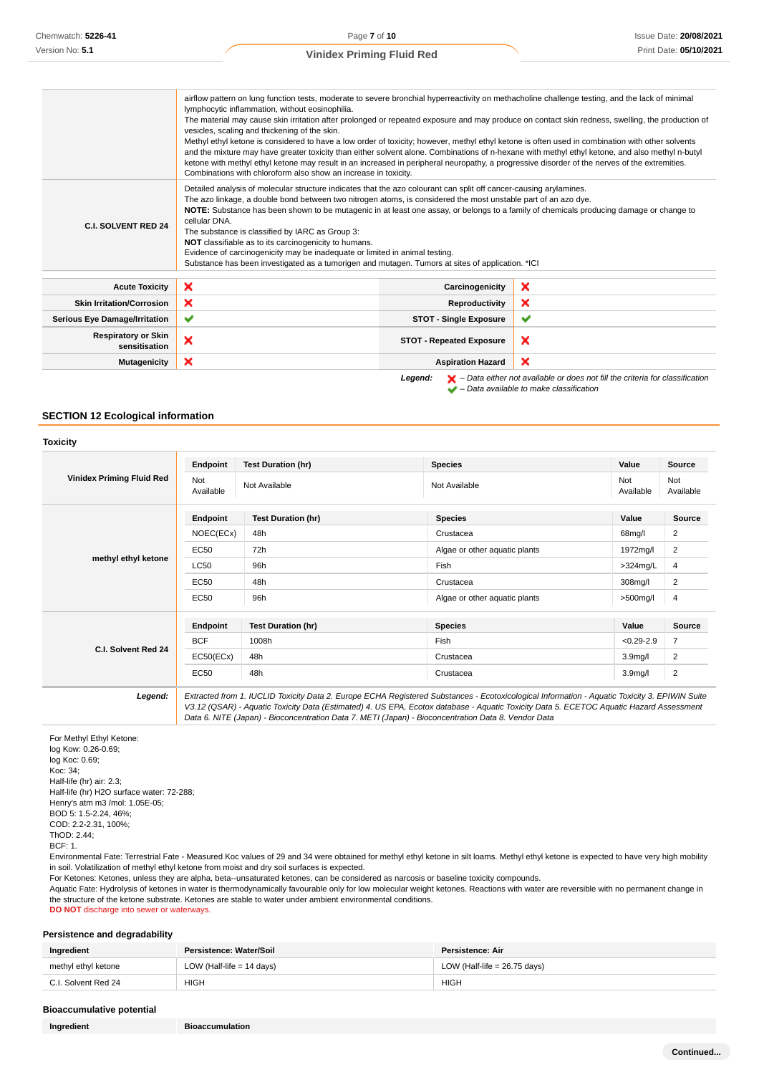|                                             | airflow pattern on lung function tests, moderate to severe bronchial hyperreactivity on methacholine challenge testing, and the lack of minimal<br>lymphocytic inflammation, without eosinophilia.<br>vesicles, scaling and thickening of the skin.<br>Methyl ethyl ketone is considered to have a low order of toxicity; however, methyl ethyl ketone is often used in combination with other solvents<br>and the mixture may have greater toxicity than either solvent alone. Combinations of n-hexane with methyl ethyl ketone, and also methyl n-butyl<br>ketone with methyl ethyl ketone may result in an increased in peripheral neuropathy, a progressive disorder of the nerves of the extremities.<br>Combinations with chloroform also show an increase in toxicity. |                                 | The material may cause skin irritation after prolonged or repeated exposure and may produce on contact skin redness, swelling, the production of                    |
|---------------------------------------------|--------------------------------------------------------------------------------------------------------------------------------------------------------------------------------------------------------------------------------------------------------------------------------------------------------------------------------------------------------------------------------------------------------------------------------------------------------------------------------------------------------------------------------------------------------------------------------------------------------------------------------------------------------------------------------------------------------------------------------------------------------------------------------|---------------------------------|---------------------------------------------------------------------------------------------------------------------------------------------------------------------|
| <b>C.I. SOLVENT RED 24</b>                  | Detailed analysis of molecular structure indicates that the azo colourant can split off cancer-causing arylamines.<br>The azo linkage, a double bond between two nitrogen atoms, is considered the most unstable part of an azo dye.<br>NOTE: Substance has been shown to be mutagenic in at least one assay, or belongs to a family of chemicals producing damage or change to<br>cellular DNA.<br>The substance is classified by IARC as Group 3:<br>NOT classifiable as to its carcinogenicity to humans.<br>Evidence of carcinogenicity may be inadequate or limited in animal testing.<br>Substance has been investigated as a tumorigen and mutagen. Tumors at sites of application. *ICI                                                                                |                                 |                                                                                                                                                                     |
| <b>Acute Toxicity</b>                       | ×                                                                                                                                                                                                                                                                                                                                                                                                                                                                                                                                                                                                                                                                                                                                                                              | Carcinogenicity                 | ×                                                                                                                                                                   |
| <b>Skin Irritation/Corrosion</b>            | ×                                                                                                                                                                                                                                                                                                                                                                                                                                                                                                                                                                                                                                                                                                                                                                              | Reproductivity                  | ×                                                                                                                                                                   |
| <b>Serious Eye Damage/Irritation</b>        | ✔                                                                                                                                                                                                                                                                                                                                                                                                                                                                                                                                                                                                                                                                                                                                                                              | <b>STOT - Single Exposure</b>   | ✔                                                                                                                                                                   |
| <b>Respiratory or Skin</b><br>sensitisation | ×                                                                                                                                                                                                                                                                                                                                                                                                                                                                                                                                                                                                                                                                                                                                                                              | <b>STOT - Repeated Exposure</b> | ×                                                                                                                                                                   |
| <b>Mutagenicity</b>                         | ×                                                                                                                                                                                                                                                                                                                                                                                                                                                                                                                                                                                                                                                                                                                                                                              | <b>Aspiration Hazard</b>        | ×                                                                                                                                                                   |
|                                             |                                                                                                                                                                                                                                                                                                                                                                                                                                                                                                                                                                                                                                                                                                                                                                                | Legend:                         | $\blacktriangleright$ - Data either not available or does not fill the criteria for classification<br>$\blacktriangleright$ - Data available to make classification |

## **SECTION 12 Ecological information**

|                                  | Endpoint         | <b>Test Duration (hr)</b> | <b>Species</b>                | Value                | Source           |
|----------------------------------|------------------|---------------------------|-------------------------------|----------------------|------------------|
| <b>Vinidex Priming Fluid Red</b> | Not<br>Available | Not Available             | Not Available                 | Not<br>Available     | Not<br>Available |
|                                  | Endpoint         | <b>Test Duration (hr)</b> | <b>Species</b>                | Value                | Source           |
|                                  | NOEC(ECx)        | 48h                       | Crustacea                     | 68mg/l               | 2                |
| methyl ethyl ketone              | <b>EC50</b>      | 72h                       | Algae or other aquatic plants | 1972mg/l             | 2                |
|                                  | <b>LC50</b>      | 96h                       | Fish                          | $>324$ mg/L          | 4                |
|                                  | <b>EC50</b>      | 48h<br>Crustacea          |                               | 308mg/l              | 2                |
|                                  | <b>EC50</b>      | 96h                       | Algae or other aquatic plants | $>500$ mg/l          | 4                |
|                                  | Endpoint         | <b>Test Duration (hr)</b> | <b>Species</b>                | Value                | <b>Source</b>    |
|                                  | <b>BCF</b>       | 1008h                     | Fish                          | $< 0.29 - 2.9$       | $\overline{7}$   |
| C.I. Solvent Red 24              | EC50(ECx)        | 48h                       | Crustacea                     | 3.9 <sub>mg</sub> /l | 2                |
|                                  | <b>EC50</b>      | 48h                       | Crustacea                     | 3.9 <sub>mg</sub> /I | $\overline{2}$   |

For Methyl Ethyl Ketone: log Kow: 0.26-0.69; log Koc: 0.69; Koc: 34; Half-life (hr) air: 2.3; Half-life (hr) H2O surface water: 72-288; Henry's atm m3 /mol: 1.05E-05; BOD 5: 1.5-2.24, 46%; COD: 2.2-2.31, 100%; ThOD: 2.44; BCF: 1.

Environmental Fate: Terrestrial Fate - Measured Koc values of 29 and 34 were obtained for methyl ethyl ketone in silt loams. Methyl ethyl ketone is expected to have very high mobility in soil. Volatilization of methyl ethyl ketone from moist and dry soil surfaces is expected.

For Ketones: Ketones, unless they are alpha, beta--unsaturated ketones, can be considered as narcosis or baseline toxicity compounds.

Aquatic Fate: Hydrolysis of ketones in water is thermodynamically favourable only for low molecular weight ketones. Reactions with water are reversible with no permanent change in the structure of the ketone substrate. Ketones are stable to water under ambient environmental conditions.

**DO NOT** discharge into sewer or waterways.

### **Persistence and degradability**

| Ingredient          | Persistence: Water/Soil     | Persistence: Air               |
|---------------------|-----------------------------|--------------------------------|
| methyl ethyl ketone | LOW (Half-life $= 14$ days) | LOW (Half-life = $26.75$ days) |
| C.I. Solvent Red 24 | HIGH                        | <b>HIGH</b>                    |

### **Bioaccumulative potential**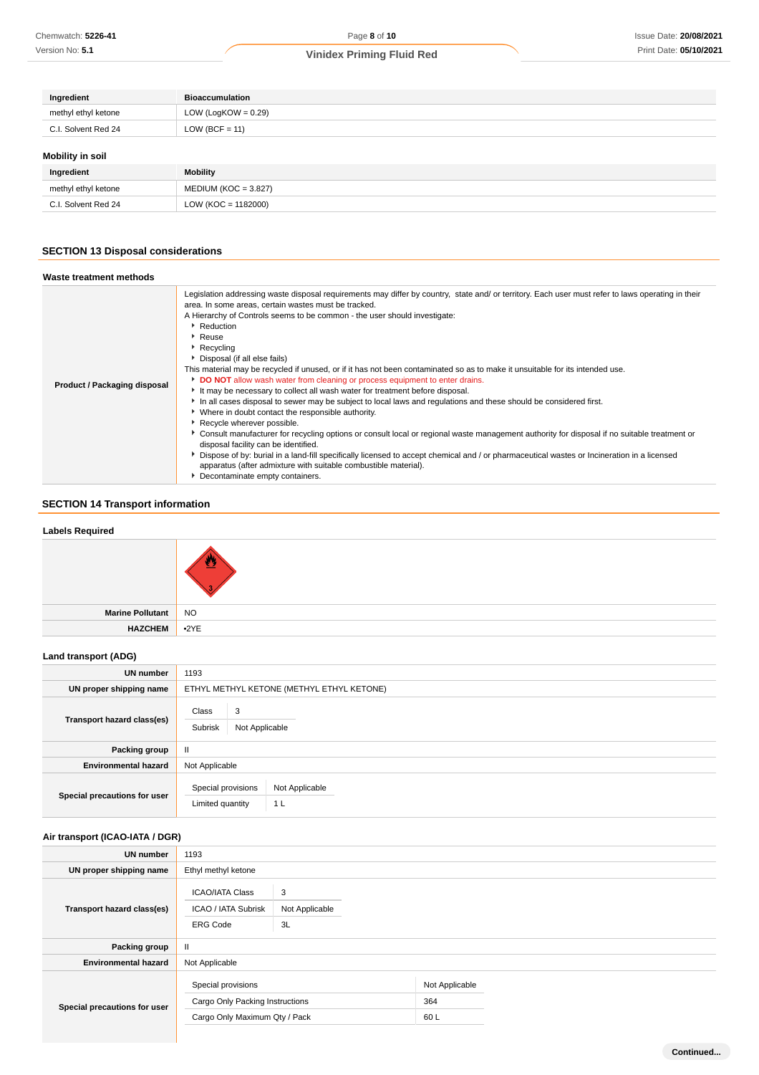| Ingredient          | <b>Bioaccumulation</b> |
|---------------------|------------------------|
| methyl ethyl ketone | LOW (LogKOW = $0.29$ ) |
| C.I. Solvent Red 24 | $LOW (BCF = 11)$       |
| Mobility in soil    |                        |
| Ingredient          | Mobility               |
| methyl ethyl ketone | $MEDIUM (KOC = 3.827)$ |

## **SECTION 13 Disposal considerations**

C.I. Solvent Red 24 LOW (KOC = 1182000)

# **Waste treatment methods**

| Product / Packaging disposal | Legislation addressing waste disposal requirements may differ by country, state and/ or territory. Each user must refer to laws operating in their<br>area. In some areas, certain wastes must be tracked.<br>A Hierarchy of Controls seems to be common - the user should investigate:<br>Reduction<br><sup>•</sup> Reuse<br>Recycling<br>Disposal (if all else fails)<br>This material may be recycled if unused, or if it has not been contaminated so as to make it unsuitable for its intended use.<br>DO NOT allow wash water from cleaning or process equipment to enter drains.<br>It may be necessary to collect all wash water for treatment before disposal.<br>In all cases disposal to sewer may be subject to local laws and regulations and these should be considered first.<br>• Where in doubt contact the responsible authority.<br>Recycle wherever possible.<br>▶ Consult manufacturer for recycling options or consult local or regional waste management authority for disposal if no suitable treatment or<br>disposal facility can be identified.<br>> Dispose of by: burial in a land-fill specifically licensed to accept chemical and / or pharmaceutical wastes or Incineration in a licensed<br>apparatus (after admixture with suitable combustible material).<br>Decontaminate empty containers. |
|------------------------------|----------------------------------------------------------------------------------------------------------------------------------------------------------------------------------------------------------------------------------------------------------------------------------------------------------------------------------------------------------------------------------------------------------------------------------------------------------------------------------------------------------------------------------------------------------------------------------------------------------------------------------------------------------------------------------------------------------------------------------------------------------------------------------------------------------------------------------------------------------------------------------------------------------------------------------------------------------------------------------------------------------------------------------------------------------------------------------------------------------------------------------------------------------------------------------------------------------------------------------------------------------------------------------------------------------------------------------|
|------------------------------|----------------------------------------------------------------------------------------------------------------------------------------------------------------------------------------------------------------------------------------------------------------------------------------------------------------------------------------------------------------------------------------------------------------------------------------------------------------------------------------------------------------------------------------------------------------------------------------------------------------------------------------------------------------------------------------------------------------------------------------------------------------------------------------------------------------------------------------------------------------------------------------------------------------------------------------------------------------------------------------------------------------------------------------------------------------------------------------------------------------------------------------------------------------------------------------------------------------------------------------------------------------------------------------------------------------------------------|

## **SECTION 14 Transport information**

## **Labels Required**

| Marine Pollutant   NO   |  |
|-------------------------|--|
| HAZCHEM <sup>2</sup> YE |  |

## **Land transport (ADG)**

| <b>UN number</b>             | 1193                                                                       |  |  |
|------------------------------|----------------------------------------------------------------------------|--|--|
| UN proper shipping name      | ETHYL METHYL KETONE (METHYL ETHYL KETONE)                                  |  |  |
| Transport hazard class(es)   | Class<br>3<br>Subrisk<br>Not Applicable                                    |  |  |
| Packing group                | $\mathbf{II}$                                                              |  |  |
| <b>Environmental hazard</b>  | Not Applicable                                                             |  |  |
| Special precautions for user | Special provisions<br>Not Applicable<br>Limited quantity<br>1 <sub>L</sub> |  |  |

## **Air transport (ICAO-IATA / DGR)**

| UN number                    | 1193                                                                                   |                           |                               |  |
|------------------------------|----------------------------------------------------------------------------------------|---------------------------|-------------------------------|--|
| UN proper shipping name      | Ethyl methyl ketone                                                                    |                           |                               |  |
| Transport hazard class(es)   | <b>ICAO/IATA Class</b><br>ICAO / IATA Subrisk<br><b>ERG Code</b>                       | 3<br>Not Applicable<br>3L |                               |  |
| Packing group                | $\mathbf{II}$                                                                          |                           |                               |  |
| <b>Environmental hazard</b>  | Not Applicable                                                                         |                           |                               |  |
| Special precautions for user | Special provisions<br>Cargo Only Packing Instructions<br>Cargo Only Maximum Qty / Pack |                           | Not Applicable<br>364<br>60 L |  |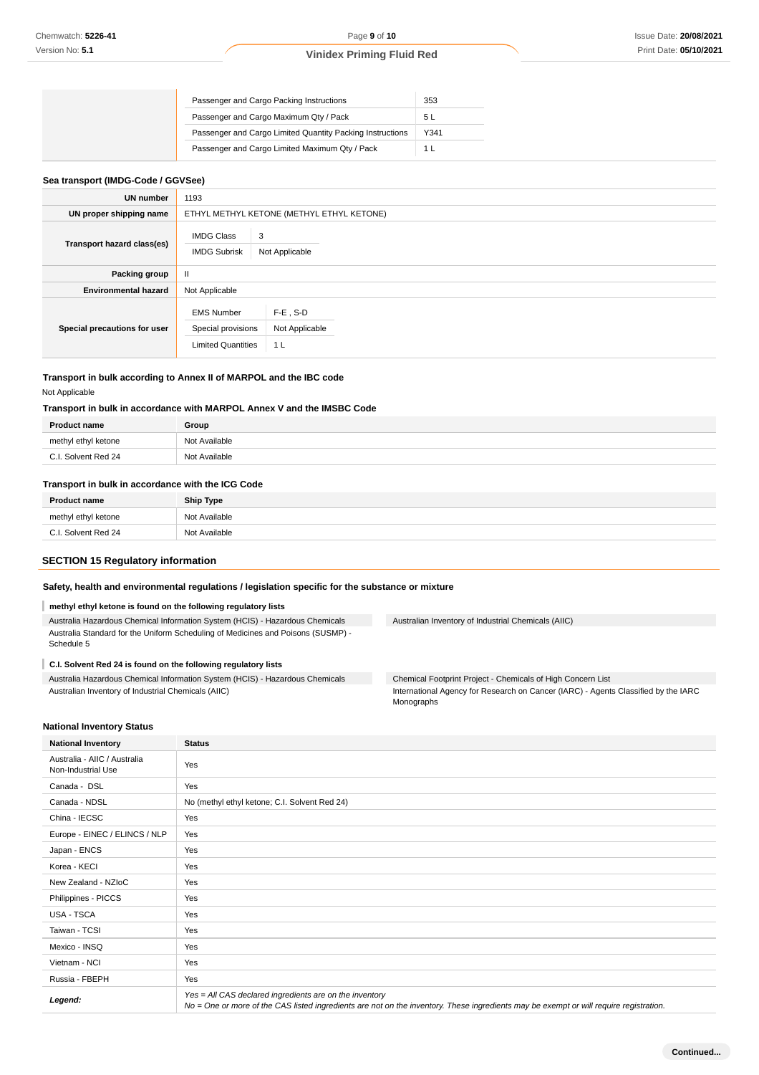|  | Passenger and Cargo Packing Instructions                  | 353  |
|--|-----------------------------------------------------------|------|
|  | Passenger and Cargo Maximum Qty / Pack                    | 5 L  |
|  | Passenger and Cargo Limited Quantity Packing Instructions | Y341 |
|  | Passenger and Cargo Limited Maximum Qty / Pack            | 11   |

## **Sea transport (IMDG-Code / GGVSee)**

| UN number                    | 1193                                                                 |                                                 |  |  |
|------------------------------|----------------------------------------------------------------------|-------------------------------------------------|--|--|
| UN proper shipping name      | ETHYL METHYL KETONE (METHYL ETHYL KETONE)                            |                                                 |  |  |
| Transport hazard class(es)   | <b>IMDG Class</b><br>3<br><b>IMDG Subrisk</b><br>Not Applicable      |                                                 |  |  |
| Packing group                | $\mathbf{H}$                                                         |                                                 |  |  |
| <b>Environmental hazard</b>  | Not Applicable                                                       |                                                 |  |  |
| Special precautions for user | <b>EMS Number</b><br>Special provisions<br><b>Limited Quantities</b> | $F-E$ , S-D<br>Not Applicable<br>1 <sub>L</sub> |  |  |

## **Transport in bulk according to Annex II of MARPOL and the IBC code**

Not Applicable

## **Transport in bulk in accordance with MARPOL Annex V and the IMSBC Code**

| <b>Product name</b>              | Group              |
|----------------------------------|--------------------|
| methyl<br>ketone<br>l athw<br>.  | Not Available      |
| $\cap$<br>Red 24<br>Solvent<br>. | Not Available<br>. |

## **Transport in bulk in accordance with the ICG Code**

| <b>Product name</b> | <b>Ship Type</b> |
|---------------------|------------------|
| methyl ethyl ketone | Not Available    |
| C.I. Solvent Red 24 | Not Available    |

## **SECTION 15 Regulatory information**

### **Safety, health and environmental regulations / legislation specific for the substance or mixture**

## **methyl ethyl ketone is found on the following regulatory lists**

Australia Hazardous Chemical Information System (HCIS) - Hazardous Chemicals Australia Standard for the Uniform Scheduling of Medicines and Poisons (SUSMP) - Schedule 5

## **C.I. Solvent Red 24 is found on the following regulatory lists**

Australia Hazardous Chemical Information System (HCIS) - Hazardous Chemicals Australian Inventory of Industrial Chemicals (AIIC)

Australian Inventory of Industrial Chemicals (AIIC)

Chemical Footprint Project - Chemicals of High Concern List International Agency for Research on Cancer (IARC) - Agents Classified by the IARC Monographs

### **National Inventory Status**

| <b>National Inventory</b>                          | <b>Status</b>                                                                                                                                                                                     |  |  |
|----------------------------------------------------|---------------------------------------------------------------------------------------------------------------------------------------------------------------------------------------------------|--|--|
| Australia - AIIC / Australia<br>Non-Industrial Use | Yes                                                                                                                                                                                               |  |  |
| Canada - DSL                                       | Yes                                                                                                                                                                                               |  |  |
| Canada - NDSL                                      | No (methyl ethyl ketone; C.I. Solvent Red 24)                                                                                                                                                     |  |  |
| China - IECSC                                      | Yes                                                                                                                                                                                               |  |  |
| Europe - EINEC / ELINCS / NLP                      | Yes                                                                                                                                                                                               |  |  |
| Japan - ENCS                                       | Yes                                                                                                                                                                                               |  |  |
| Korea - KECI                                       | Yes                                                                                                                                                                                               |  |  |
| New Zealand - NZIoC                                | Yes                                                                                                                                                                                               |  |  |
| Philippines - PICCS                                | Yes                                                                                                                                                                                               |  |  |
| <b>USA - TSCA</b>                                  | Yes                                                                                                                                                                                               |  |  |
| Taiwan - TCSI                                      | Yes                                                                                                                                                                                               |  |  |
| Mexico - INSQ                                      | Yes                                                                                                                                                                                               |  |  |
| Vietnam - NCI                                      | Yes                                                                                                                                                                                               |  |  |
| Russia - FBEPH                                     | Yes                                                                                                                                                                                               |  |  |
| Legend:                                            | Yes = All CAS declared ingredients are on the inventory<br>No = One or more of the CAS listed ingredients are not on the inventory. These ingredients may be exempt or will require registration. |  |  |